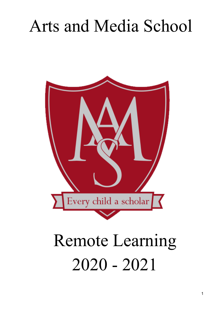## Arts and Media School



# Remote Learning 2020 - 2021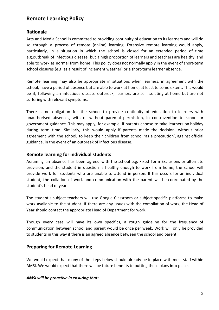## **Remote Learning Policy**

## **Rationale**

Arts and Media School is committed to providing continuity of education to its learners and will do so through a process of remote (online) learning. Extensive remote learning would apply, particularly, in a situation in which the school is closed for an extended period of time e.g.outbreak of infectious disease, but a high proportion of learners and teachers are healthy, and able to work as normal from home. This policy does not normally apply in the event of short-term school closures (e.g. as a result of inclement weather) or a short-term learner absence.

Remote learning may also be appropriate in situations when learners, in agreement with the school, have a period of absence but are able to work at home, at least to some extent. This would be if, following an infectious disease outbreak, learners are self isolating at home but are not suffering with relevant symptoms.

There is no obligation for the school to provide continuity of education to learners with unauthorised absences, with or without parental permission, in contravention to school or government guidance. This may apply, for example, if parents choose to take learners on holiday during term time. Similarly, this would apply if parents made the decision, without prior agreement with the school, to keep their children from school 'as a precaution', against official guidance, in the event of an outbreak of infectious disease.

#### **Remote learning for individual students**

Assuming an absence has been agreed with the school e.g. Fixed Term Exclusions or alternate provision, and the student in question is healthy enough to work from home, the school will provide work for students who are unable to attend in person. If this occurs for an individual student, the collation of work and communication with the parent will be coordinated by the student's head of year.

The student's subject teachers will use Google Classroom or subject specific platforms to make work available to the student. If there are any issues with the compilation of work, the Head of Year should contact the appropriate Head of Department for work.

Though every case will have its own specifics, a rough guideline for the frequency of communication between school and parent would be once per week. Work will only be provided to students in this way if there is an agreed absence between the school and parent.

## **Preparing for Remote Learning**

We would expect that many of the steps below should already be in place with most staff within AMSI. We would expect that there will be future benefits to putting these plans into place.

#### *AMSI will be proactive in ensuring that:*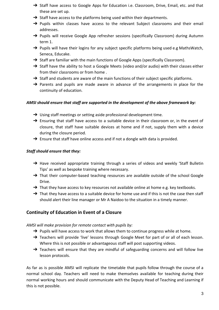- → Staff have access to Google Apps for Education i.e. Classroom, Drive, Email, etc. and that these are set up.
- → Staff have access to the platforms being used within their departments.
- → Pupils within classes have access to the relevant Subject classrooms and their email addresses.
- → Pupils will receive Google App refresher sessions (specifically Classroom) during Autumn term 1.
- → Pupils will have their logins for any subject specific platforms being used e.g MathsWatch, Seneca, Educake.
- → Staff are familiar with the main functions of Google Apps (specifically Classroom).
- → Staff have the ability to host a Google Meets (video and/or audio) with their classes either from their classrooms or from home .
- → Staff and students are aware of the main functions of their subject specific platforms.
- $\rightarrow$  Parents and pupils are made aware in advance of the arrangements in place for the continuity of education.

#### *AMSI should ensure that staff are supported in the development of the above framework by:*

- → Using staff meetings or setting aside professional development time.
- $\rightarrow$  Ensuring that staff have access to a suitable device in their classroom or, in the event of closure, that staff have suitable devices at home and if not, supply them with a device during the closure period.
- $\rightarrow$  Ensure that staff have online access and if not a dongle with data is provided.

#### *Staff should ensure that they:*

- → Have received appropriate training through a series of videos and weekly 'Staff Bulletin Tips' as well as bespoke training where necessary.
- → That their computer-based teaching resources are available outside of the school Google Drive.
- → That they have access to key resources not available online at home e.g. key textbooks.
- $\rightarrow$  That they have access to a suitable device for home use and if this is not the case then staff should alert their line manager or Mr A Naidoo to the situation in a timely manner.

## **Continuity of Education in Event of a Closure**

*AMSI will make provision for remote contact with pupils by:*

- → Pupils will have access to work that allows them to continue progress while at home.
- → Teachers will provide 'live' lessons through Google Meet for part of or all of each lesson. Where this is not possible or advantageous staff will post supporting videos.
- → Teachers will ensure that they are mindful of safeguarding concerns and will follow live lesson protocols.

As far as is possible AMSI will replicate the timetable that pupils follow through the course of a normal school day. Teachers will need to make themselves available for teaching during their normal working hours and should communicate with the Deputy Head of Teaching and Learning if this is not possible.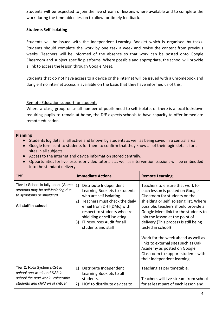Students will be expected to join the live stream of lessons where available and to complete the work during the timetabled lesson to allow for timely feedback.

#### **Students Self Isolating**

Students will be issued with the Independent Learning Booklet which is organised by tasks. Students should complete the work by one task a week and revise the content from previous weeks. Teachers will be informed of the absence so that work can be posted onto Google Classroom and subject specific platforms. Where possible and appropriate, the school will provide a link to access the lesson through Google Meet.

Students that do not have access to a device or the internet will be issued with a Chromebook and dongle if no internet access is available on the basis that they have informed us of this.

#### [Remote Education support](https://www.gov.uk/government/publications/actions-for-schools-during-the-coronavirus-outbreak/guidance-for-full-opening-schools#res) for students

Where a class, group or small number of pupils need to self-isolate, or there is a local lockdown requiring pupils to remain at home, the DfE expects schools to have capacity to offer immediate remote education.

#### **Planning**

- Students log details fall active and known by students as well as being saved in a central area.
- Google form sent to students for them to confirm that they know all of their login details for all sites in all subjects.
- Access to the internet and device information stored centrally.
- Opportunities for live lessons or video tutorials as well as intervention sessions will be embedded into the standard delivery.

| <b>Tier</b>                                                                                                                        | <b>Immediate Actions</b>                                                                                                                                                                                                                                                              | <b>Remote Learning</b>                                                                                                                                                                                                                                                                                                                                                                                                                                                                                            |
|------------------------------------------------------------------------------------------------------------------------------------|---------------------------------------------------------------------------------------------------------------------------------------------------------------------------------------------------------------------------------------------------------------------------------------|-------------------------------------------------------------------------------------------------------------------------------------------------------------------------------------------------------------------------------------------------------------------------------------------------------------------------------------------------------------------------------------------------------------------------------------------------------------------------------------------------------------------|
| Tier 1: School is fully open. (Some<br>students may be self-isolating due<br>to symptoms or shielding)<br>All staff in school      | Distribute Independent<br>1)<br>Learning Booklets to students<br>who are self isolating.<br>Teachers must check the daily<br> 2)<br>email from DHT(DMc) with<br>respect to students who are<br>shielding or self isolating.<br>IT resources Audit for all<br>3)<br>students and staff | Teachers to ensure that work for<br>each lesson is posted on Google<br>Classroom for students on the<br>shielding or self isolating list. Where<br>possible, teachers should provide a<br>Google Meet link for the students to<br>join the lesson at the point of<br>delivery. (This process is still being<br>tested in school)<br>Work for the week ahead as well as<br>links to external sites such as Oak<br>Academy as posted on Google<br>Classroom to support students with<br>their independent learning. |
| Tier 2: Rota System (KS4 in<br>school one week and KS3 in<br>school the next week. Vulnerable<br>students and children of critical | Distribute Independent<br>1)<br>Learning Booklets to all<br>students.<br>HOY to distribute devices to<br>2)                                                                                                                                                                           | Teaching as per timetable.<br>Teachers will live stream from school<br>for at least part of each lesson and                                                                                                                                                                                                                                                                                                                                                                                                       |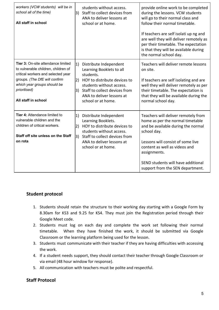| workers (VCW students) will be in<br>school all of the time)<br>All staff in school                                                                                                                                    | 3)              | students without access.<br>Staff to collect devices from<br>ANA to deliver lessons at<br>school or at home.                                                                                                    | provide online work to be completed<br>during the lessons. VCW students<br>will go to their normal class and<br>follow their normal timetable.<br>If teachers are self isolati up ng and<br>are well they will deliver remotely as<br>per their timetable. The expectation<br>is that they will be available during<br>the normal school day. |
|------------------------------------------------------------------------------------------------------------------------------------------------------------------------------------------------------------------------|-----------------|-----------------------------------------------------------------------------------------------------------------------------------------------------------------------------------------------------------------|-----------------------------------------------------------------------------------------------------------------------------------------------------------------------------------------------------------------------------------------------------------------------------------------------------------------------------------------------|
| Tier 3: On-site attendance limited<br>to vulnerable children, children of<br>critical workers and selected year<br>groups. (The DfE will confirm<br>which year groups should be<br>prioritised)<br>All staff in school | 1)<br>2)<br> 3) | Distribute Independent<br>Learning Booklets to all<br>students.<br>HOY to distribute devices to<br>students without access.<br>Staff to collect devices from<br>ANA to deliver lessons at<br>school or at home. | Teachers will deliver remote lessons<br>on site.<br>If teachers are self isolating and are<br>well they will deliver remotely as per<br>their timetable. The expectation is<br>that they will be available during the<br>normal school day.                                                                                                   |
| Tier 4: Attendance limited to<br>vulnerable children and the<br>children of critical workers.<br>Staff off site unless on the Staff<br>on rota                                                                         | 1)<br>2)<br>3)  | Distribute Independent<br>Learning Booklets.<br>HOY to distribute devices to<br>students without access.<br>Staff to collect devices from<br>ANA to deliver lessons at<br>school or at home.                    | Teachers will deliver remotely from<br>home as per the normal timetable<br>and be available during the normal<br>school day.<br>Lessons will consist of some live<br>content as well as videos and<br>assignments.<br>SEND students will have additional<br>support from the SEN department.                                                  |

## **Student protocol**

- 1. Students should retain the structure to their working day starting with a Google Form by 8.30am for KS3 and 9.25 for KS4. They must join the Registration period through their Google Meet code.
- 2. Students must log on each day and complete the work set following their normal timetable. When they have finished the work, it should be submitted via Google Classroom or the learning platform being used for the lesson.
- 3. Students must communicate with their teacher if they are having difficulties with accessing the work.
- 4. If a student needs support, they should contact their teacher through Google Classroom or via email (48 hour window for response).
- 5. All communication with teachers must be polite and respectful.

## **Staff Protocol**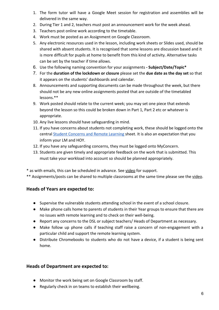- 1. The form tutor will have a Google Meet session for registration and assemblies will be delivered in the same way.
- 2. During Tier 1 and 2, teachers must post an announcement work for the week ahead.
- 3. Teachers post online work according to the timetable.
- 4. Work must be posted as an Assignment on Google Classroom.
- 5. Any electronic resources used in the lesson, including work sheets or Slides used, should be shared with absent students. It is recognised that some lessons are discussion based and it is more difficult for pupils at home to benefit from this kind of activity. Alternative tasks can be set by the teacher if time allows.
- 6. Use the following naming convention for your assignments  **Subject/Date/Topic\***
- 7. For the **duration of the lockdown or closure** please set the **due date as the day set** so that it appears on the students' dashboards and calendar.
- 8. Announcements and supporting documents can be made throughout the week, but there should not be any new online assignments posted that are outside of the timetabled lessons.\*\*
- 9. Work posted should relate to the current week; you may set one piece that extends beyond the lesson so this could be broken down in Part 1, Part 2 etc or whatever is appropriate.
- 10. Any live lessons should have safeguarding in mind.
- 11. If you have concerns about students not completing work, these should be logged onto the central [Student Concerns and Remote Learning](https://docs.google.com/spreadsheets/d/17YAnbOvENTLmyrarvXbpTcZIzaqHb1QdhgTTKjOzZ2o/edit#gid=0) sheet. It is also an expectation that you inform your LM and HOY.
- 12. If you have any safeguarding concerns, they must be logged onto MyConcern.
- 13. Students are given timely and appropriate feedback on the work that is submitted. This must take your workload into account so should be planned appropriately.
- \* as with emails, this can be scheduled in advance. See [video](https://drive.google.com/drive/folders/1kzbk0bdbUf_YpcDZeaWDDLzafYwNRxk_) for support.
- \*\* Assignments/posts can be shared to multiple classrooms at the same time please see the [video](https://drive.google.com/drive/folders/1kzbk0bdbUf_YpcDZeaWDDLzafYwNRxk_).

## **Heads of Years are expected to:**

- **●** Supervise the vulnerable students attending school in the event of a school closure.
- Make phone calls home to parents of students in their Year groups to ensure that there are no issues with remote learning and to check on their well-being.
- Report any concerns to the DSL or subject teachers/ Heads of Department as necessary.
- Make follow up phone calls if teaching staff raise a concern of non-engagement with a particular child and support the remote learning system.
- Distribute Chromebooks to students who do not have a device, if a student is being sent home.

## **Heads of Department are expected to:**

- Monitor the work being set on Google Classroom by staff.
- Regularly check in on teams to establish their wellbeing.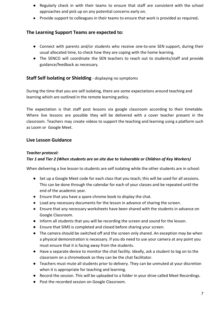- Regularly check in with their teams to ensure that staff are consistent with the school approaches and pick up on any potential concerns early on.
- Provide support to colleagues in their teams to ensure that work is provided as required**.**

## **The Learning Support Teams are expected to:**

- Connect with parents and/or students who receive one-to-one SEN support, during their usual allocated time, to check how they are coping with the home learning.
- The SENCO will coordinate the SEN teachers to reach out to students/staff and provide guidance/feedback as necessary.

## **Staff Self Isolating or Shielding** - displaying no symptoms

During the time that you are self isolating, there are some expectations around teaching and learning which are outlined in the remote learning policy.

The expectation is that staff post lessons via google classroom according to their timetable. Where live lessons are possible they will be delivered with a cover teacher present in the classroom. Teachers may create videos to support the teaching and learning using a platform such as Loom or Google Meet.

## **Live Lesson Guidance**

#### *Teacher protocol:*

#### *Tier 1 and Tier 2 (When students are on site due to Vulnerable or Children of Key Workers)*

When delivering a live lesson to students are self isolating while the other students are in school:

- Set up a Google Meet code for each class that you teach; this will be used for all sessions. This can be done through the calendar for each of your classes and be repeated until the end of the academic year.
- Ensure that you have a spare chrome book to display the chat.
- Load any necessary documents for the lesson in advance of sharing the screen.
- Ensure that any necessary worksheets have been shared with the students in advance on Google Classroom.
- Inform all students that you will be recording the screen and sound for the lesson.
- Ensure that SIMS is completed and closed before sharing your screen.
- The camera should be switched off and the screen only shared. An exception may be when a physical demonstration is necessary. If you do need to use your camera at any point you must ensure that it is facing away from the students.
- Have a separate device to monitor the chat facility. Ideally, ask a student to log on to the classroom on a chromebook so they can be the chat facilitator.
- Teachers must mute all students prior to delivery. They can be unmuted at your discretion when it is appropriate for teaching and learning.
- Record the session. This will be uploaded to a folder in your drive called Meet Recordings.
- Post the recorded session on Google Classroom.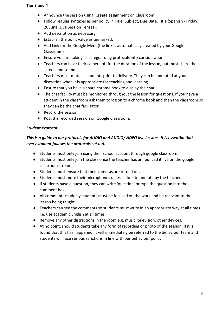#### **Tier 3 and 4**

- Announce the session using: Create assignment on Classroom.
- Follow regular syntaxes as per policy in Title: Subject, Due Date, Title (Spanish Friday, 26 June: Live Session Tenses).
- Add description as necessary.
- Establish the point value as unmarked.
- Add Link for the Google Meet (the link is automatically created by your Google Classroom)
- Ensure you are taking all safeguarding protocols into consideration.
- Teachers can have their camera off for the duration of the lesson, but must share their screen and sound.
- Teachers must mute all students prior to delivery. They can be unmuted at your discretion when it is appropriate for teaching and learning.
- Ensure that you have a spare chrome book to display the chat.
- The chat facility must be monitored throughout the lesson for questions. If you have a student in the classroom ask them to log on to a chrome book and then the classroom so they can be the chat facilitator.
- Record the session.
- Post the recorded session on Google Classroom.

#### *Student Protocol:*

#### *This is a guide to our protocols for AUDIO and AUDIO/VIDEO live lessons. It is essential that every student follows the protocols set out.*

- Students must only join using their school account through google classroom.
- Students must only join the class once the teacher has announced it live on the google classroom stream.
- Students must ensure that their cameras are turned off.
- Students must mute their microphones unless asked to unmute by the teacher.
- If students have a question, they can write 'question' or type the question into the comment box.
- All comments made by students must be focused on the work and be relevant to the lesson being taught.
- Teachers can see the comments so students must write in an appropriate way at all times i.e. use academic English at all times.
- Remove any other distractions in the room e.g. music, television, other devices.
- At no point, should students take any form of recording or photo of the session. If it is found that this has happened, it will immediately be referred to the behaviour team and students will face serious sanctions in line with our behaviour policy.